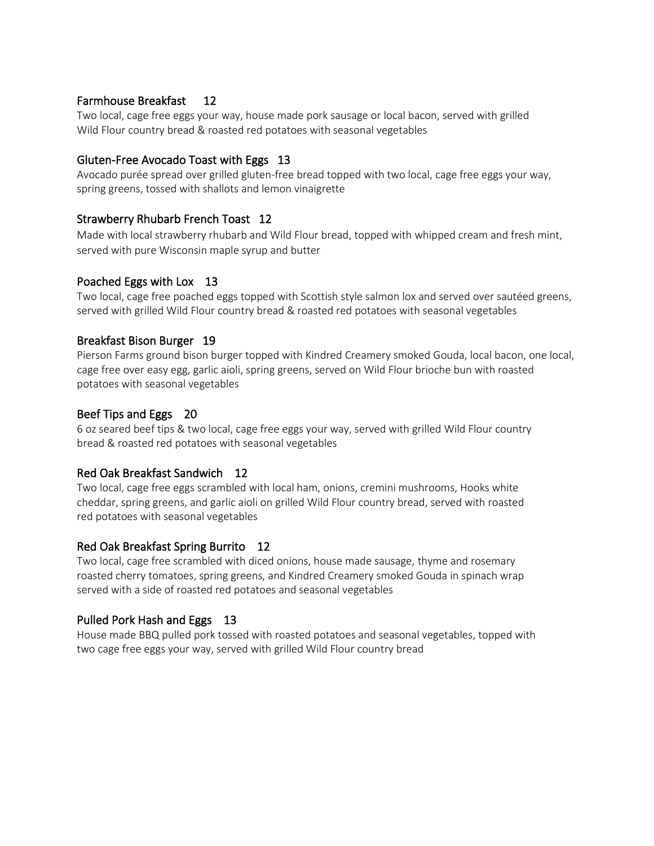### Farmhouse Breakfast 12

Two local, cage free eggs your way, house made pork sausage or local bacon, served with grilled Wild Flour country bread & roasted red potatoes with seasonal vegetables

## Gluten-Free Avocado Toast with Eggs 13

Avocado purée spread over grilled gluten-free bread topped with two local, cage free eggs your way, spring greens, tossed with shallots and lemon vinaigrette

# Strawberry Rhubarb French Toast 12

Made with local strawberry rhubarb and Wild Flour bread, topped with whipped cream and fresh mint, served with pure Wisconsin maple syrup and butter

## Poached Eggs with Lox 13

Two local, cage free poached eggs topped with Scottish style salmon lox and served over sautéed greens, served with grilled Wild Flour country bread & roasted red potatoes with seasonal vegetables

## Breakfast Bison Burger 19

Pierson Farms ground bison burger topped with Kindred Creamery smoked Gouda, local bacon, one local, cage free over easy egg, garlic aioli, spring greens, served on Wild Flour brioche bun with roasted potatoes with seasonal vegetables

## Beef Tips and Eggs 20

6 oz seared beef tips & two local, cage free eggs your way, served with grilled Wild Flour country bread & roasted red potatoes with seasonal vegetables

# Red Oak Breakfast Sandwich 12

Two local, cage free eggs scrambled with local ham, onions, cremini mushrooms, Hooks white cheddar, spring greens, and garlic aioli on grilled Wild Flour country bread, served with roasted red potatoes with seasonal vegetables

### Red Oak Breakfast Spring Burrito 12

Two local, cage free scrambled with diced onions, house made sausage, thyme and rosemary roasted cherry tomatoes, spring greens, and Kindred Creamery smoked Gouda in spinach wrap served with a side of roasted red potatoes and seasonal vegetables

### Pulled Pork Hash and Eggs 13

House made BBQ pulled pork tossed with roasted potatoes and seasonal vegetables, topped with two cage free eggs your way, served with grilled Wild Flour country bread